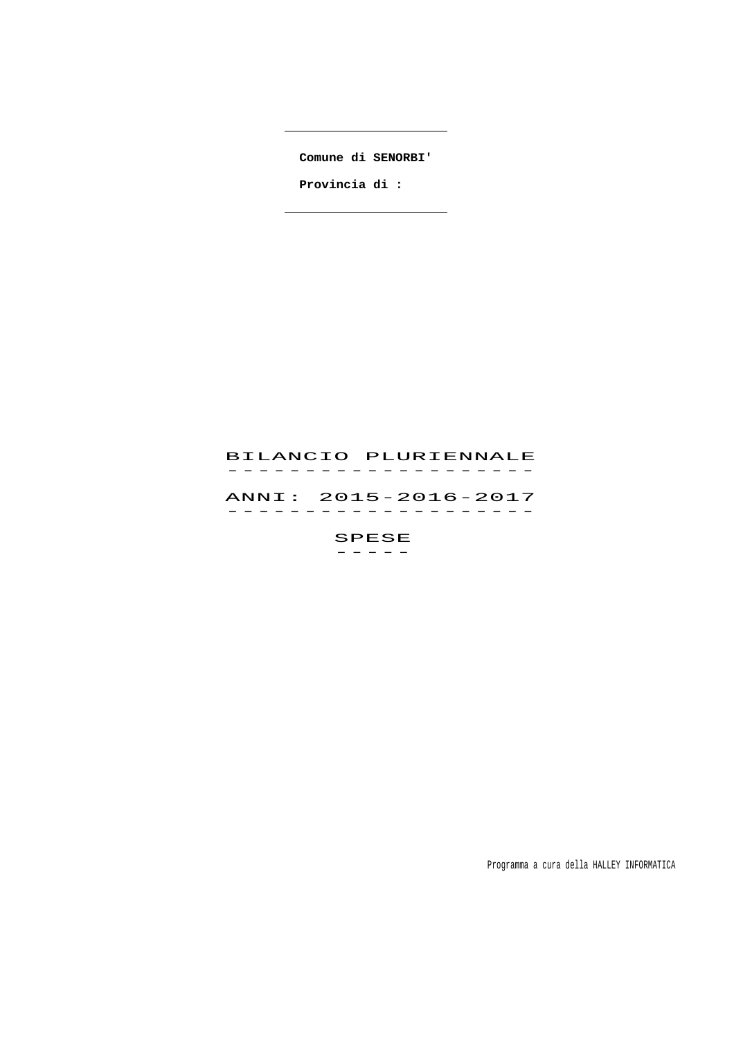**Comune di SENORBI'**

 $\overline{\phantom{a}}$ 

 $\overline{\phantom{0}}$ 

 **Provincia di :** 

# BILANCIO PLURIENNALE -------------------<br>BILANCIO PLURIENNALE ANNI: 2015-2016-2017 ANNI: 2015–2016–2017<br>------------------SPESE

 $-$ 

Programma a cura della HALLEY INFORMATICA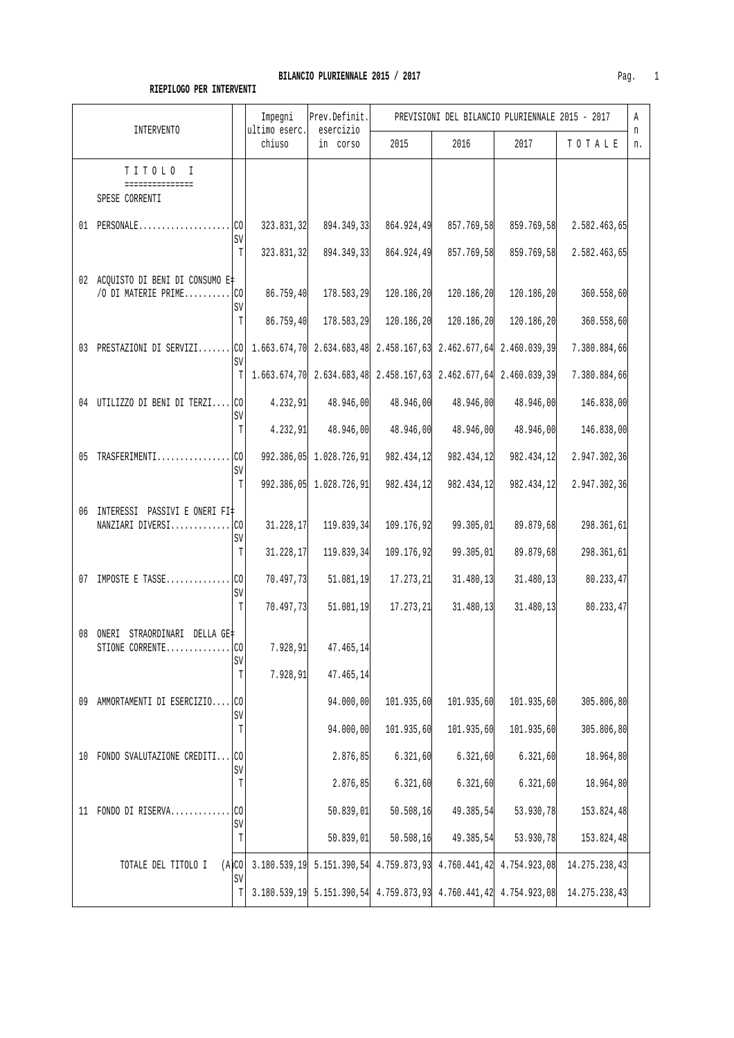|                                                                                               |                    | Impegni<br>ultimo eserc. | Prev.Definit.<br>esercizio                                           | PREVISIONI DEL BILANCIO PLURIENNALE 2015 - 2017 |                          |                           |                              | Α       |
|-----------------------------------------------------------------------------------------------|--------------------|--------------------------|----------------------------------------------------------------------|-------------------------------------------------|--------------------------|---------------------------|------------------------------|---------|
| INTERVENTO                                                                                    |                    | chiuso                   | in corso                                                             | 2015                                            | 2016                     | 2017                      | TOTALE                       | n<br>n. |
| TITOLO I<br>===============<br>SPESE CORRENTI                                                 |                    |                          |                                                                      |                                                 |                          |                           |                              |         |
|                                                                                               | SV<br>T            | 323.831,32<br>323.831,32 | 894.349,33<br>894.349,33                                             | 864.924,49<br>864.924,49                        | 857.769,58<br>857.769,58 | 859.769,58<br>859.769,58  | 2.582.463,65<br>2.582.463,65 |         |
| 02 ACQUISTO DI BENI DI CONSUMO E‡<br>/O DI MATERIE PRIMEco                                    | SV                 | 86.759,40                | 178.583,29                                                           | 120.186,20                                      | 120.186,20               | 120.186,20                | 360.558,60                   |         |
|                                                                                               | $\mathbb T$        | 86.759,40                | 178.583,29                                                           | 120.186,20                                      | 120.186,20               | 120.186,20                | 360.558,60                   |         |
| 03 PRESTAZIONI DI SERVIZI CO 1.663.674,70 2.634.683,48 2.458.167,63 2.462.677,64 2.460.039,39 | SV                 |                          |                                                                      |                                                 |                          |                           | 7.380.884,66                 |         |
|                                                                                               |                    |                          | $T$ 1.663.674,70 2.634.683,48 2.458.167,63 2.462.677,64 2.460.039,39 |                                                 |                          |                           | 7.380.884,66                 |         |
| 04 UTILIZZO DI BENI DI TERZI CO                                                               | SV                 | 4.232,91                 | 48.946,00                                                            | 48.946,00                                       | 48.946,00                | 48.946,00                 | 146.838,00                   |         |
|                                                                                               | $\mathbb T$        | 4.232,91                 | 48.946,00                                                            | 48.946,00                                       | 48.946,00                | 48.946,00                 | 146.838,00                   |         |
| 05 TRASFERIMENTICO                                                                            | SV                 |                          | 992.386,05 1.028.726,91                                              | 982.434,12                                      | 982.434,12               | 982.434,12                | 2.947.302,36                 |         |
|                                                                                               | T                  |                          | 992.386,05 1.028.726,91                                              | 982.434,12                                      | 982.434,12               | 982.434,12                | 2.947.302,36                 |         |
| 06 INTERESSI PASSIVI E ONERI FI‡<br>NANZIARI DIVERSICO                                        | SV                 | 31.228, 17               | 119.839,34                                                           | 109.176,92                                      | 99.305,01                | 89.879,68                 | 298.361,61                   |         |
|                                                                                               | T                  | 31.228,17                | 119.839,34                                                           | 109.176,92                                      | 99.305,01                | 89.879,68                 | 298.361,61                   |         |
|                                                                                               | SV                 | 70.497,73                | 51.081, 19                                                           | 17.273,21                                       | 31.480, 13               | 31.480,13                 | 80.233,47                    |         |
|                                                                                               | T                  | 70.497,73                | 51.081, 19                                                           | 17.273,21                                       |                          | $31.480, 13$ $31.480, 13$ | 80.233,47                    |         |
| 08 ONERI<br>STRAORDINARI DELLA GE‡<br>STIONE CORRENTE $ CO $                                  | SV                 | 7.928,91                 | 47.465,14                                                            |                                                 |                          |                           |                              |         |
|                                                                                               | T                  | 7.928, 91                | 47.465,14                                                            |                                                 |                          |                           |                              |         |
| AMMORTAMENTI DI ESERCIZIO CO<br>09                                                            | SV                 |                          | 94.000,00                                                            | 101.935,60                                      | 101.935,60               | 101.935,60                | 305.806,80                   |         |
|                                                                                               | T                  |                          | 94.000,00                                                            | 101.935,60                                      | 101.935,60               | 101.935,60                | 305.806,80                   |         |
| FONDO SVALUTAZIONE CREDITI<br>10                                                              | .CO<br>$\mbox{SV}$ |                          | 2.876,85                                                             | 6.321, 60                                       | 6.321, 60                | 6.321,60                  | 18.964,80                    |         |
|                                                                                               | T                  |                          | 2.876, 85                                                            | 6.321,60                                        | 6.321,60                 | 6.321,60                  | 18.964,80                    |         |
| FONDO DI RISERVA<br>11                                                                        | .CO<br>SV          |                          | 50.839,01                                                            | 50.508, 16                                      | 49.385,54                | 53.930,78                 | 153.824,48                   |         |
|                                                                                               | T                  |                          | 50.839,01                                                            | 50.508, 16                                      | 49.385,54                | 53.930,78                 | 153.824,48                   |         |
| (A)CO<br>TOTALE DEL TITOLO I                                                                  | SV                 |                          | 3.180.539,19 5.151.390,54 4.759.873,93 4.760.441,42 4.754.923,08     |                                                 |                          |                           | 14.275.238,43                |         |
|                                                                                               | T                  |                          | 3.180.539,19 5.151.390,54 4.759.873,93 4.760.441,42 4.754.923,08     |                                                 |                          |                           | 14.275.238,43                |         |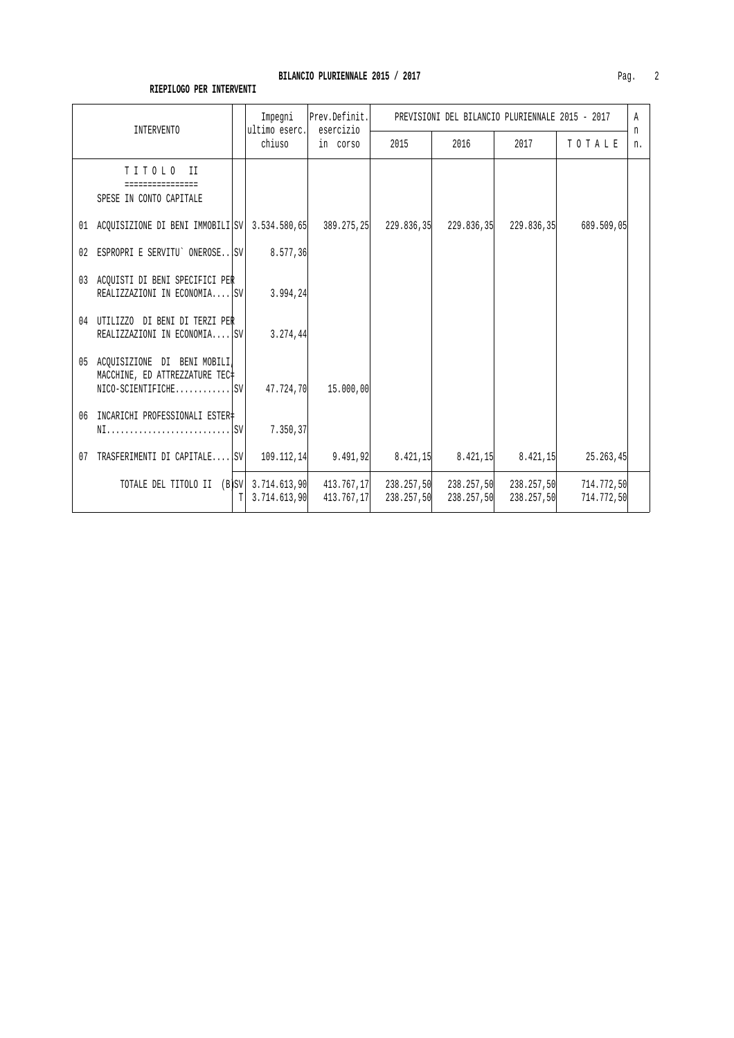| INTERVENTO                                                                                        |   | Impegni<br>ultimo eserc. | Prev.Definit.<br>esercizio<br>in corso | PREVISIONI DEL BILANCIO PLURIENNALE 2015 - 2017 |            |                                     |                          |         |
|---------------------------------------------------------------------------------------------------|---|--------------------------|----------------------------------------|-------------------------------------------------|------------|-------------------------------------|--------------------------|---------|
|                                                                                                   |   | chiuso                   |                                        | 2015                                            | 2016       | 2017                                | TOTALE                   | n<br>n. |
| TITOLO II<br>SPESE IN CONTO CAPITALE                                                              |   |                          |                                        |                                                 |            |                                     |                          |         |
| 01 ACQUISIZIONE DI BENI IMMOBILI SV  3.534.580,65  389.275,25  229.836,35  229.836,35  229.836,35 |   |                          |                                        |                                                 |            |                                     | 689.509,05               |         |
| 02 ESPROPRI E SERVITU' ONEROSESV                                                                  |   | 8.577,36                 |                                        |                                                 |            |                                     |                          |         |
| 03 ACQUISTI DI BENI SPECIFICI PER<br>REALIZZAZIONI IN ECONOMIA ISV                                |   | 3.994,24                 |                                        |                                                 |            |                                     |                          |         |
| 04 UTILIZZO DI BENI DI TERZI PER<br>REALIZZAZIONI IN ECONOMIA SV                                  |   | 3.274,44                 |                                        |                                                 |            |                                     |                          |         |
| 05 ACOUISIZIONE DI BENI MOBILI<br>MACCHINE, ED ATTREZZATURE TEC#<br>$NICO-SCIENTIFICHE$           |   |                          | 47.724,70 15.000,00                    |                                                 |            |                                     |                          |         |
| 06 INCARICHI PROFESSIONALI ESTER‡                                                                 |   | 7.350,37                 |                                        |                                                 |            |                                     |                          |         |
| TRASFERIMENTI DI CAPITALE SV<br>07                                                                |   | 109.112,14               |                                        | $9.491, 92$ $8.421, 15$                         |            | $8.421,15$ $8.421,15$               | 25.263,45                |         |
| TOTALE DEL TITOLO II (B)SV 3.714.613,90                                                           | T | 3.714.613.90             | 413.767,17                             | 413.767,17 238.257,50<br>238.257,50             | 238.257,50 | 238.257,50 238.257,50<br>238.257,50 | 714.772,50<br>714.772,50 |         |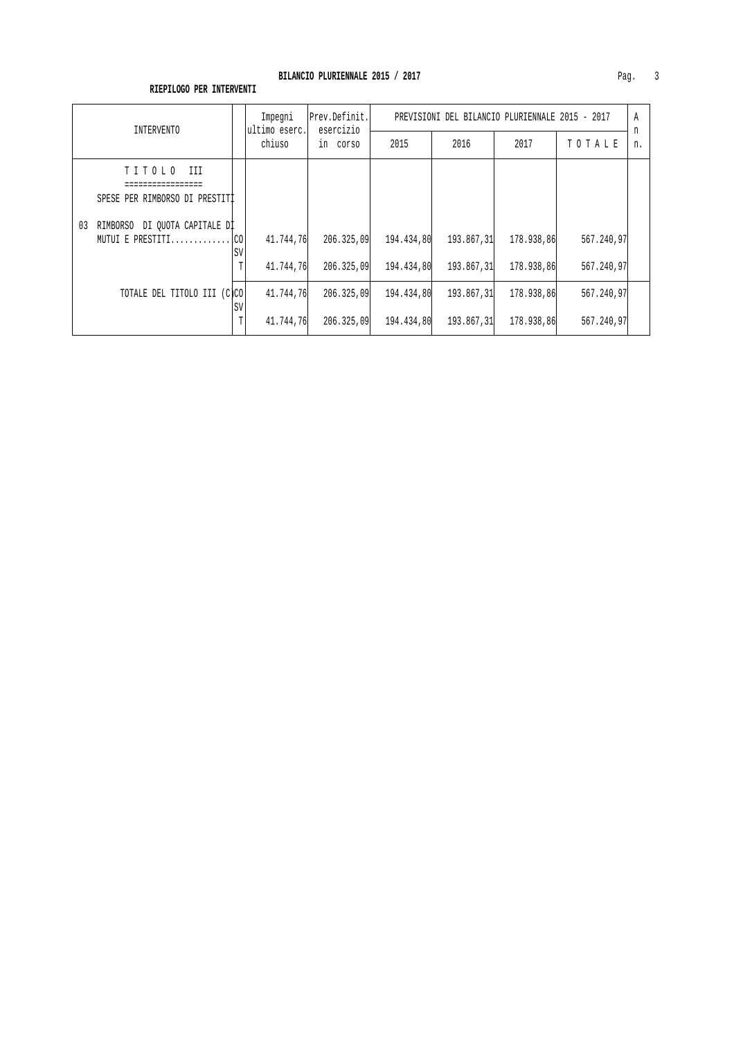| INTERVENTO                                                     | Impegni<br>ultimo eserc.          | Prev.Definit.<br>esercizio<br>in corso | PREVISIONI DEL BILANCIO PLURIENNALE 2015 - 2017 |                          |                          |                          |         |
|----------------------------------------------------------------|-----------------------------------|----------------------------------------|-------------------------------------------------|--------------------------|--------------------------|--------------------------|---------|
|                                                                | chiuso                            |                                        | 2015                                            | 2016                     | 2017                     | TOTALE                   | n<br>n. |
| TITOLO<br>III<br>SPESE PER RIMBORSO DI PRESTITI                |                                   |                                        |                                                 |                          |                          |                          |         |
| RIMBORSO DI OUOTA CAPITALE DI<br>03<br>MUTUI E PRESTITI $ CO $ | 41.744,76<br>SV<br>41.744,76<br>Τ | 206.325,09<br>206.325,09               | 194.434,80<br>194.434,80                        | 193.867,31<br>193.867,31 | 178.938,86<br>178.938,86 | 567.240,97<br>567.240,97 |         |
| TOTALE DEL TITOLO III (C)CO                                    | 41.744,76<br>SV<br>41.744,76      | 206.325,09<br>206.325,09               | 194.434,80<br>194.434,80                        | 193.867,31<br>193.867,31 | 178.938,86<br>178.938.86 | 567.240,97<br>567.240,97 |         |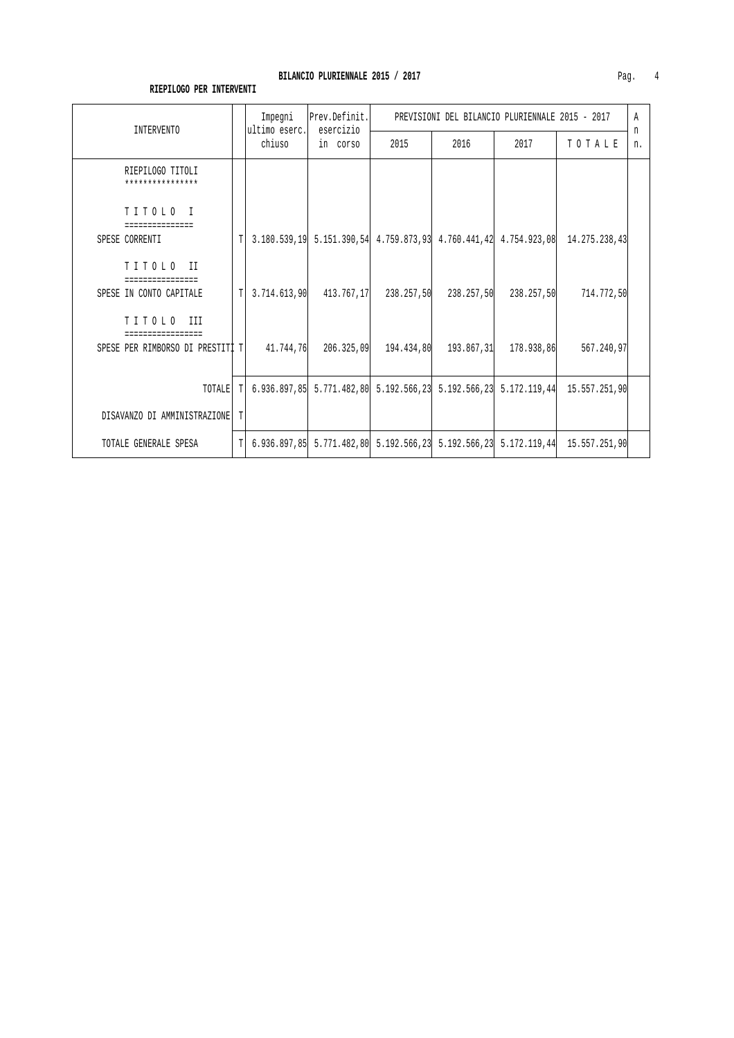| <b>INTERVENTO</b>                    |   | Impegni                 | Prev.Definit.<br>esercizio | PREVISIONI DEL BILANCIO PLURIENNALE 2015 - 2017                            |      |            |                                                                                    |         |
|--------------------------------------|---|-------------------------|----------------------------|----------------------------------------------------------------------------|------|------------|------------------------------------------------------------------------------------|---------|
|                                      |   | ultimo eserc.<br>chiuso | in corso                   | 2015                                                                       | 2016 | 2017       | TOTALE                                                                             | n<br>n. |
| RIEPILOGO TITOLI<br>**************** |   |                         |                            |                                                                            |      |            |                                                                                    |         |
| TITOLO I<br>===============          |   |                         |                            |                                                                            |      |            |                                                                                    |         |
| SPESE CORRENTI                       | T |                         |                            |                                                                            |      |            | 3.180.539,19 5.151.390,54 4.759.873,93 4.760.441,42 4.754.923,08 14.275.238,43     |         |
| TITOLO II                            |   |                         |                            |                                                                            |      |            |                                                                                    |         |
| SPESE IN CONTO CAPITALE              | T |                         |                            | $3.714.613.90$ $413.767.17$ $238.257.50$ $238.257.50$                      |      | 238.257,50 | 714.772,50                                                                         |         |
| TITOLO III                           |   |                         |                            |                                                                            |      |            |                                                                                    |         |
| SPESE PER RIMBORSO DI PRESTITI T     |   |                         |                            | 41.744.76 206.325.09 194.434.80 193.867.31 178.938.86                      |      |            | 567.240,97                                                                         |         |
|                                      |   |                         |                            |                                                                            |      |            |                                                                                    |         |
| TOTALE                               | T |                         |                            | $6.936.897,85$ $5.771.482,80$ $5.192.566,23$ $5.192.566,23$ $5.172.119,44$ |      |            | 15.557.251,90                                                                      |         |
| DISAVANZO DI AMMINISTRAZIONE         |   |                         |                            |                                                                            |      |            |                                                                                    |         |
| TOTALE GENERALE SPESA                |   |                         |                            |                                                                            |      |            | $T$ 6.936.897,85 5.771.482,80 5.192.566,23 5.192.566,23 5.172.119,44 15.557.251,90 |         |